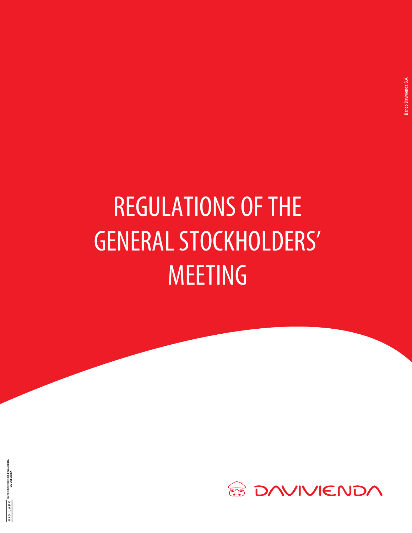# REGULATIONS OF THE GENERAL STOCKHOLDERS' MEETING

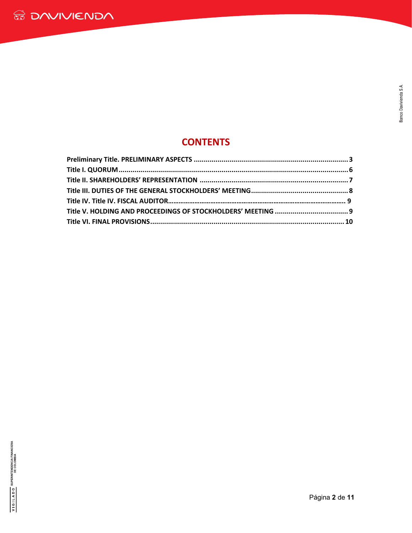## **CONTENTS**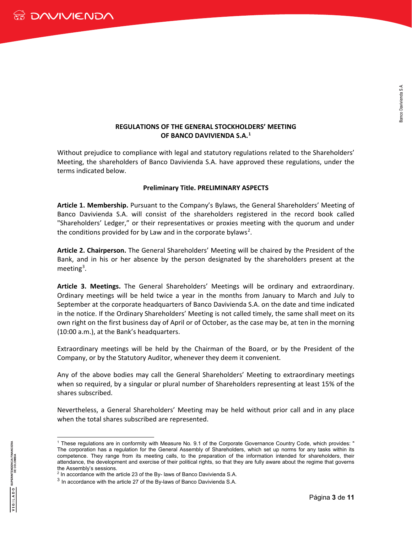#### **REGULATIONS OF THE GENERAL STOCKHOLDERS' MEETING OF BANCO DAVIVIENDA S.A.[1](#page-2-0)**

Without prejudice to compliance with legal and statutory regulations related to the Shareholders' Meeting, the shareholders of Banco Davivienda S.A. have approved these regulations, under the terms indicated below.

#### **Preliminary Title. PRELIMINARY ASPECTS**

**Article 1. Membership.** Pursuant to the Company's Bylaws, the General Shareholders' Meeting of Banco Davivienda S.A. will consist of the shareholders registered in the record book called "Shareholders' Ledger," or their representatives or proxies meeting with the quorum and under the conditions provided for by Law and in the corporate bylaws<sup>[2](#page-2-1)</sup>.

**Article 2. Chairperson.** The General Shareholders' Meeting will be chaired by the President of the Bank, and in his or her absence by the person designated by the shareholders present at the meeting<sup>[3](#page-2-2)</sup>.

**Article 3. Meetings.** The General Shareholders' Meetings will be ordinary and extraordinary. Ordinary meetings will be held twice a year in the months from January to March and July to September at the corporate headquarters of Banco Davivienda S.A. on the date and time indicated in the notice. If the Ordinary Shareholders' Meeting is not called timely, the same shall meet on its own right on the first business day of April or of October, as the case may be, at ten in the morning (10:00 a.m.), at the Bank's headquarters.

Extraordinary meetings will be held by the Chairman of the Board, or by the President of the Company, or by the Statutory Auditor, whenever they deem it convenient.

Any of the above bodies may call the General Shareholders' Meeting to extraordinary meetings when so required, by a singular or plural number of Shareholders representing at least 15% of the shares subscribed.

Nevertheless, a General Shareholders' Meeting may be held without prior call and in any place when the total shares subscribed are represented.

<span id="page-2-0"></span><sup>-</sup><sup>1</sup> These regulations are in conformity with Measure No. 9.1 of the Corporate Governance Country Code, which provides: " The corporation has a regulation for the General Assembly of Shareholders, which set up norms for any tasks within its competence. They range from its meeting calls, to the preparation of the information intended for shareholders, their attendance, the development and exercise of their political rights, so that they are fully aware about the regime that governs the Assembly's sessions.

 $^{\rm 2}$  In accordance with the article 23 of the By- laws of Banco Davivienda S.A.

<span id="page-2-2"></span><span id="page-2-1"></span> $3$  In accordance with the article 27 of the By-laws of Banco Davivienda S.A.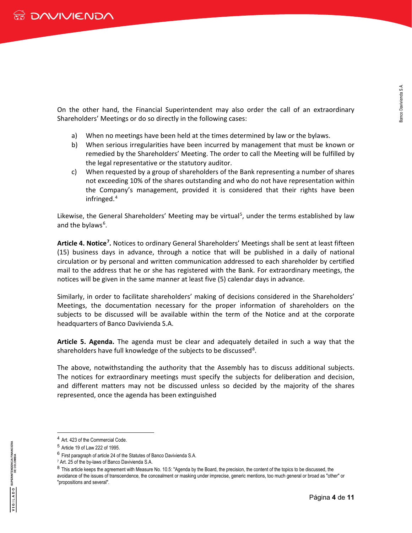On the other hand, the Financial Superintendent may also order the call of an extraordinary Shareholders' Meetings or do so directly in the following cases:

- a) When no meetings have been held at the times determined by law or the bylaws.
- b) When serious irregularities have been incurred by management that must be known or remedied by the Shareholders' Meeting. The order to call the Meeting will be fulfilled by the legal representative or the statutory auditor.
- c) When requested by a group of shareholders of the Bank representing a number of shares not exceeding 10% of the shares outstanding and who do not have representation within the Company's management, provided it is considered that their rights have been infringed.[4](#page-3-0)

Likewise, the General Shareholders' Meeting may be virtual<sup>[5](#page-3-1)</sup>, under the terms established by law and the bylaws<sup>[6](#page-3-2)</sup>.

Article 4. Notice<sup>[7](#page-3-3)</sup>. Notices to ordinary General Shareholders' Meetings shall be sent at least fifteen (15) business days in advance, through a notice that will be published in a daily of national circulation or by personal and written communication addressed to each shareholder by certified mail to the address that he or she has registered with the Bank. For extraordinary meetings, the notices will be given in the same manner at least five (5) calendar days in advance.

Similarly, in order to facilitate shareholders' making of decisions considered in the Shareholders' Meetings, the documentation necessary for the proper information of shareholders on the subjects to be discussed will be available within the term of the Notice and at the corporate headquarters of Banco Davivienda S.A.

**Article 5. Agenda.** The agenda must be clear and adequately detailed in such a way that the shareholders have full knowledge of the subjects to be discussed<sup>[8](#page-3-4)</sup>.

The above, notwithstanding the authority that the Assembly has to discuss additional subjects. The notices for extraordinary meetings must specify the subjects for deliberation and decision, and different matters may not be discussed unless so decided by the majority of the shares represented, once the agenda has been extinguished

<sup>4</sup> Art. 423 of the Commercial Code.

<span id="page-3-1"></span><span id="page-3-0"></span><sup>5</sup> Article 19 of Law 222 of 1995.

<sup>6</sup> First paragraph of article 24 of the Statutes of Banco Davivienda S.A.

<span id="page-3-3"></span><span id="page-3-2"></span><sup>7</sup> Art. 25 of the by-laws of Banco Davivienda S.A.

<span id="page-3-4"></span><sup>&</sup>lt;sup>8</sup> This article keeps the agreement with Measure No. 10.5: "Agenda by the Board, the precision, the content of the topics to be discussed, the avoidance of the issues of transcendence, the concealment or masking under imprecise, generic mentions, too much general or broad as "other" or "propositions and several".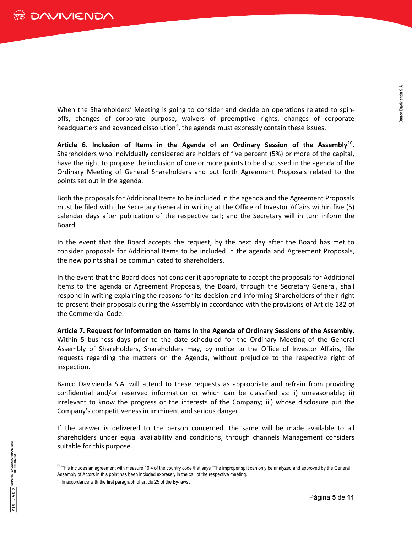When the Shareholders' Meeting is going to consider and decide on operations related to spinoffs, changes of corporate purpose, waivers of preemptive rights, changes of corporate headquarters and advanced dissolution<sup>[9](#page-4-0)</sup>, the agenda must expressly contain these issues.

**Article 6. Inclusion of Items in the Agenda of an Ordinary Session of the Assembly[10](#page-4-1).**  Shareholders who individually considered are holders of five percent (5%) or more of the capital, have the right to propose the inclusion of one or more points to be discussed in the agenda of the Ordinary Meeting of General Shareholders and put forth Agreement Proposals related to the points set out in the agenda.

Both the proposals for Additional Items to be included in the agenda and the Agreement Proposals must be filed with the Secretary General in writing at the Office of Investor Affairs within five (5) calendar days after publication of the respective call; and the Secretary will in turn inform the Board.

In the event that the Board accepts the request, by the next day after the Board has met to consider proposals for Additional Items to be included in the agenda and Agreement Proposals, the new points shall be communicated to shareholders.

In the event that the Board does not consider it appropriate to accept the proposals for Additional Items to the agenda or Agreement Proposals, the Board, through the Secretary General, shall respond in writing explaining the reasons for its decision and informing Shareholders of their right to present their proposals during the Assembly in accordance with the provisions of Article 182 of the Commercial Code.

**Article 7. Request for Information on Items in the Agenda of Ordinary Sessions of the Assembly.** Within 5 business days prior to the date scheduled for the Ordinary Meeting of the General Assembly of Shareholders, Shareholders may, by notice to the Office of Investor Affairs, file requests regarding the matters on the Agenda, without prejudice to the respective right of inspection.

Banco Davivienda S.A. will attend to these requests as appropriate and refrain from providing confidential and/or reserved information or which can be classified as: i) unreasonable; ii) irrelevant to know the progress or the interests of the Company; iii) whose disclosure put the Company's competitiveness in imminent and serious danger.

If the answer is delivered to the person concerned, the same will be made available to all shareholders under equal availability and conditions, through channels Management considers suitable for this purpose.

<span id="page-4-1"></span><span id="page-4-0"></span><sup>&</sup>lt;sup>9</sup> This includes an agreement with measure 10.4 of the country code that says "The improper split can only be analyzed and approved by the General Assembly of Actors in this point has been included expressly in the call of the respective meeting. <sup>10</sup> In accordance with the first paragraph of article 25 of the By-laws.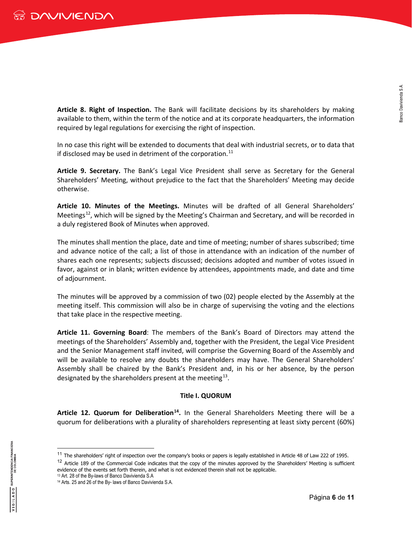**Article 8. Right of Inspection.** The Bank will facilitate decisions by its shareholders by making available to them, within the term of the notice and at its corporate headquarters, the information required by legal regulations for exercising the right of inspection.

In no case this right will be extended to documents that deal with industrial secrets, or to data that if disclosed may be used in detriment of the corporation.<sup>[11](#page-5-0)</sup>

**Article 9. Secretary.** The Bank's Legal Vice President shall serve as Secretary for the General Shareholders' Meeting, without prejudice to the fact that the Shareholders' Meeting may decide otherwise.

**Article 10. Minutes of the Meetings.** Minutes will be drafted of all General Shareholders' Meetings<sup>[12](#page-5-1)</sup>, which will be signed by the Meeting's Chairman and Secretary, and will be recorded in a duly registered Book of Minutes when approved.

The minutes shall mention the place, date and time of meeting; number of shares subscribed; time and advance notice of the call; a list of those in attendance with an indication of the number of shares each one represents; subjects discussed; decisions adopted and number of votes issued in favor, against or in blank; written evidence by attendees, appointments made, and date and time of adjournment.

The minutes will be approved by a commission of two (02) people elected by the Assembly at the meeting itself. This commission will also be in charge of supervising the voting and the elections that take place in the respective meeting.

**Article 11. Governing Board**: The members of the Bank's Board of Directors may attend the meetings of the Shareholders' Assembly and, together with the President, the Legal Vice President and the Senior Management staff invited, will comprise the Governing Board of the Assembly and will be available to resolve any doubts the shareholders may have. The General Shareholders' Assembly shall be chaired by the Bank's President and, in his or her absence, by the person designated by the shareholders present at the meeting<sup>[13](#page-5-2)</sup>.

#### **Title I. QUORUM**

**Article 12. Quorum for Deliberation[14.](#page-5-3)** In the General Shareholders Meeting there will be a quorum for deliberations with a plurality of shareholders representing at least sixty percent (60%)

 $11$  The shareholders' right of inspection over the company's books or papers is legally established in Article 48 of Law 222 of 1995.

<span id="page-5-2"></span><span id="page-5-1"></span><span id="page-5-0"></span> $12$  Article 189 of the Commercial Code indicates that the copy of the minutes approved by the Shareholders' Meeting is sufficient evidence of the events set forth therein, and what is not evidenced therein shall not be applicable.

<sup>13</sup> Art. 28 of the By-laws of Banco Davivienda S.A

<span id="page-5-3"></span><sup>14</sup> Arts. 25 and 26 of the By- laws of Banco Davivienda S.A.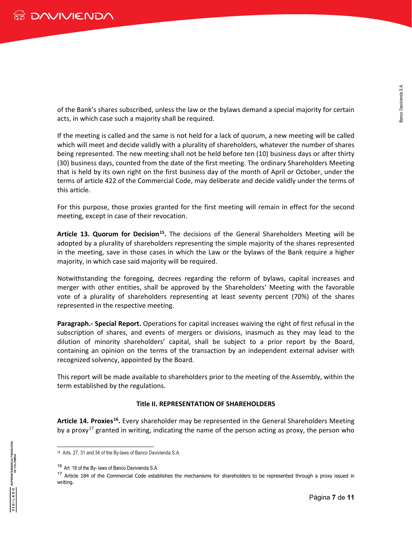of the Bank's shares subscribed, unless the law or the bylaws demand a special majority for certain acts, in which case such a majority shall be required.

If the meeting is called and the same is not held for a lack of quorum, a new meeting will be called which will meet and decide validly with a plurality of shareholders, whatever the number of shares being represented. The new meeting shall not be held before ten (10) business days or after thirty (30) business days, counted from the date of the first meeting. The ordinary Shareholders Meeting that is held by its own right on the first business day of the month of April or October, under the terms of article 422 of the Commercial Code, may deliberate and decide validly under the terms of this article.

For this purpose, those proxies granted for the first meeting will remain in effect for the second meeting, except in case of their revocation.

**Article 13. Quorum for Decision[15](#page-6-0).** The decisions of the General Shareholders Meeting will be adopted by a plurality of shareholders representing the simple majority of the shares represented in the meeting, save in those cases in which the Law or the bylaws of the Bank require a higher majority, in which case said majority will be required.

Notwithstanding the foregoing, decrees regarding the reform of bylaws, capital increases and merger with other entities, shall be approved by the Shareholders' Meeting with the favorable vote of a plurality of shareholders representing at least seventy percent (70%) of the shares represented in the respective meeting.

**Paragraph.- Special Report.** Operations for capital increases waiving the right of first refusal in the subscription of shares, and events of mergers or divisions, inasmuch as they may lead to the dilution of minority shareholders' capital, shall be subject to a prior report by the Board, containing an opinion on the terms of the transaction by an independent external adviser with recognized solvency, appointed by the Board.

This report will be made available to shareholders prior to the meeting of the Assembly, within the term established by the regulations.

#### **Title II. REPRESENTATION OF SHAREHOLDERS**

**Article 14. Proxies[16.](#page-6-1)** Every shareholder may be represented in the General Shareholders Meeting by a proxy<sup>[17](#page-6-2)</sup> granted in writing, indicating the name of the person acting as proxy, the person who

<span id="page-6-0"></span><sup>-</sup><sup>15</sup> Arts. 27, 31 and 34 of the By-laws of Banco Davivienda S.A.

<sup>16</sup> Art. 18 of the By- laws of Banco Davivienda S.A.

<span id="page-6-2"></span><span id="page-6-1"></span><sup>&</sup>lt;sup>17</sup> Article 184 of the Commercial Code establishes the mechanisms for shareholders to be represented through a proxy issued in writing.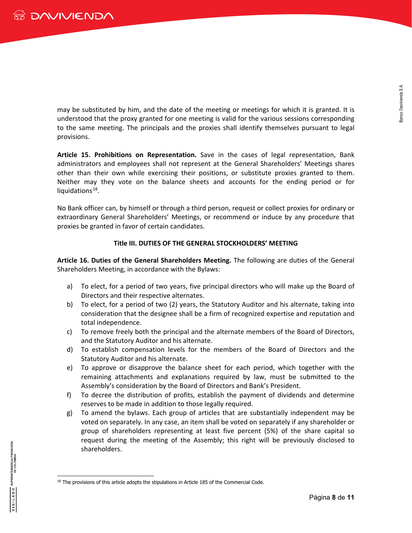may be substituted by him, and the date of the meeting or meetings for which it is granted. It is understood that the proxy granted for one meeting is valid for the various sessions corresponding to the same meeting. The principals and the proxies shall identify themselves pursuant to legal provisions.

**Article 15. Prohibitions on Representation.** Save in the cases of legal representation, Bank administrators and employees shall not represent at the General Shareholders' Meetings shares other than their own while exercising their positions, or substitute proxies granted to them. Neither may they vote on the balance sheets and accounts for the ending period or for liquidations $18$ .

No Bank officer can, by himself or through a third person, request or collect proxies for ordinary or extraordinary General Shareholders' Meetings, or recommend or induce by any procedure that proxies be granted in favor of certain candidates.

#### **Title III. DUTIES OF THE GENERAL STOCKHOLDERS' MEETING**

**Article 16. Duties of the General Shareholders Meeting.** The following are duties of the General Shareholders Meeting, in accordance with the Bylaws:

- a) To elect, for a period of two years, five principal directors who will make up the Board of Directors and their respective alternates.
- b) To elect, for a period of two (2) years, the Statutory Auditor and his alternate, taking into consideration that the designee shall be a firm of recognized expertise and reputation and total independence.
- c) To remove freely both the principal and the alternate members of the Board of Directors, and the Statutory Auditor and his alternate.
- d) To establish compensation levels for the members of the Board of Directors and the Statutory Auditor and his alternate.
- e) To approve or disapprove the balance sheet for each period, which together with the remaining attachments and explanations required by law, must be submitted to the Assembly's consideration by the Board of Directors and Bank's President.
- f) To decree the distribution of profits, establish the payment of dividends and determine reserves to be made in addition to those legally required.
- g) To amend the bylaws. Each group of articles that are substantially independent may be voted on separately. In any case, an item shall be voted on separately if any shareholder or group of shareholders representing at least five percent (5%) of the share capital so request during the meeting of the Assembly; this right will be previously disclosed to shareholders.

<span id="page-7-0"></span><sup>-</sup><sup>18</sup> The provisions of this article adopts the stipulations in Article 185 of the Commercial Code.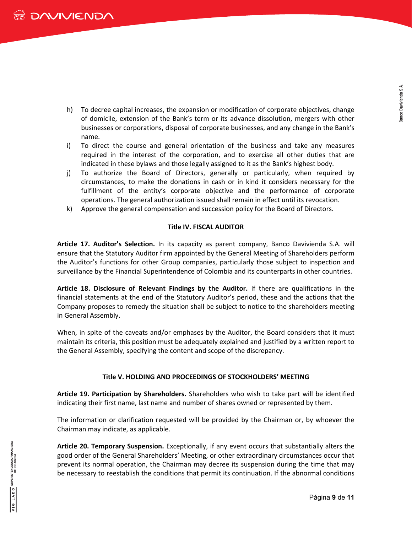- h) To decree capital increases, the expansion or modification of corporate objectives, change of domicile, extension of the Bank's term or its advance dissolution, mergers with other businesses or corporations, disposal of corporate businesses, and any change in the Bank's name.
- i) To direct the course and general orientation of the business and take any measures required in the interest of the corporation, and to exercise all other duties that are indicated in these bylaws and those legally assigned to it as the Bank's highest body.
- j) To authorize the Board of Directors, generally or particularly, when required by circumstances, to make the donations in cash or in kind it considers necessary for the fulfillment of the entity's corporate objective and the performance of corporate operations. The general authorization issued shall remain in effect until its revocation.
- k) Approve the general compensation and succession policy for the Board of Directors.

#### **Title IV. FISCAL AUDITOR**

**Article 17. Auditor's Selection.** In its capacity as parent company, Banco Davivienda S.A. will ensure that the Statutory Auditor firm appointed by the General Meeting of Shareholders perform the Auditor's functions for other Group companies, particularly those subject to inspection and surveillance by the Financial Superintendence of Colombia and its counterparts in other countries.

**Article 18. Disclosure of Relevant Findings by the Auditor.** If there are qualifications in the financial statements at the end of the Statutory Auditor's period, these and the actions that the Company proposes to remedy the situation shall be subject to notice to the shareholders meeting in General Assembly.

When, in spite of the caveats and/or emphases by the Auditor, the Board considers that it must maintain its criteria, this position must be adequately explained and justified by a written report to the General Assembly, specifying the content and scope of the discrepancy.

### **Title V. HOLDING AND PROCEEDINGS OF STOCKHOLDERS' MEETING**

**Article 19. Participation by Shareholders.** Shareholders who wish to take part will be identified indicating their first name, last name and number of shares owned or represented by them.

The information or clarification requested will be provided by the Chairman or, by whoever the Chairman may indicate, as applicable.

**Article 20. Temporary Suspension.** Exceptionally, if any event occurs that substantially alters the good order of the General Shareholders' Meeting, or other extraordinary circumstances occur that prevent its normal operation, the Chairman may decree its suspension during the time that may be necessary to reestablish the conditions that permit its continuation. If the abnormal conditions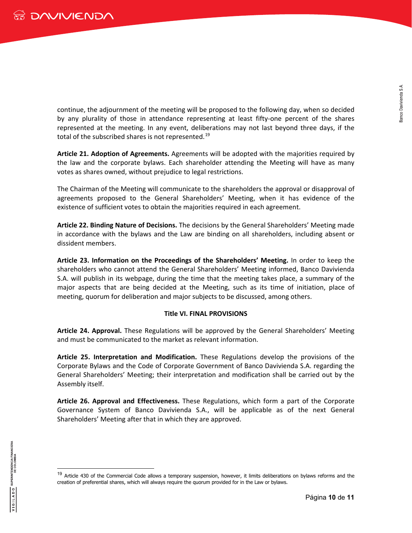continue, the adjournment of the meeting will be proposed to the following day, when so decided by any plurality of those in attendance representing at least fifty-one percent of the shares represented at the meeting. In any event, deliberations may not last beyond three days, if the total of the subscribed shares is not represented.<sup>[19](#page-9-0)</sup>

**Article 21. Adoption of Agreements.** Agreements will be adopted with the majorities required by the law and the corporate bylaws. Each shareholder attending the Meeting will have as many votes as shares owned, without prejudice to legal restrictions.

The Chairman of the Meeting will communicate to the shareholders the approval or disapproval of agreements proposed to the General Shareholders' Meeting, when it has evidence of the existence of sufficient votes to obtain the majorities required in each agreement.

**Article 22. Binding Nature of Decisions.** The decisions by the General Shareholders' Meeting made in accordance with the bylaws and the Law are binding on all shareholders, including absent or dissident members.

**Article 23. Information on the Proceedings of the Shareholders' Meeting.** In order to keep the shareholders who cannot attend the General Shareholders' Meeting informed, Banco Davivienda S.A. will publish in its webpage, during the time that the meeting takes place, a summary of the major aspects that are being decided at the Meeting, such as its time of initiation, place of meeting, quorum for deliberation and major subjects to be discussed, among others.

#### **Title VI. FINAL PROVISIONS**

**Article 24. Approval.** These Regulations will be approved by the General Shareholders' Meeting and must be communicated to the market as relevant information.

**Article 25. Interpretation and Modification.** These Regulations develop the provisions of the Corporate Bylaws and the Code of Corporate Government of Banco Davivienda S.A. regarding the General Shareholders' Meeting; their interpretation and modification shall be carried out by the Assembly itself.

**Article 26. Approval and Effectiveness.** These Regulations, which form a part of the Corporate Governance System of Banco Davivienda S.A., will be applicable as of the next General Shareholders' Meeting after that in which they are approved.

<span id="page-9-0"></span><sup>&</sup>lt;sup>19</sup> Article 430 of the Commercial Code allows a temporary suspension, however, it limits deliberations on bylaws reforms and the creation of preferential shares, which will always require the quorum provided for in the Law or bylaws.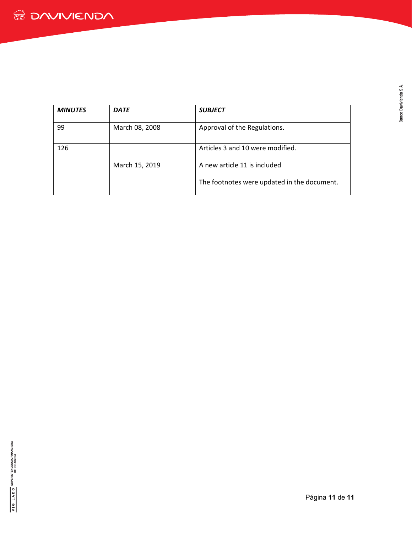| <b>MINUTES</b> | <b>DATE</b>    | <b>SUBJECT</b>                              |
|----------------|----------------|---------------------------------------------|
| 99             | March 08, 2008 | Approval of the Regulations.                |
| 126            |                | Articles 3 and 10 were modified.            |
|                | March 15, 2019 | A new article 11 is included                |
|                |                | The footnotes were updated in the document. |

Banco Davivienda S.A.